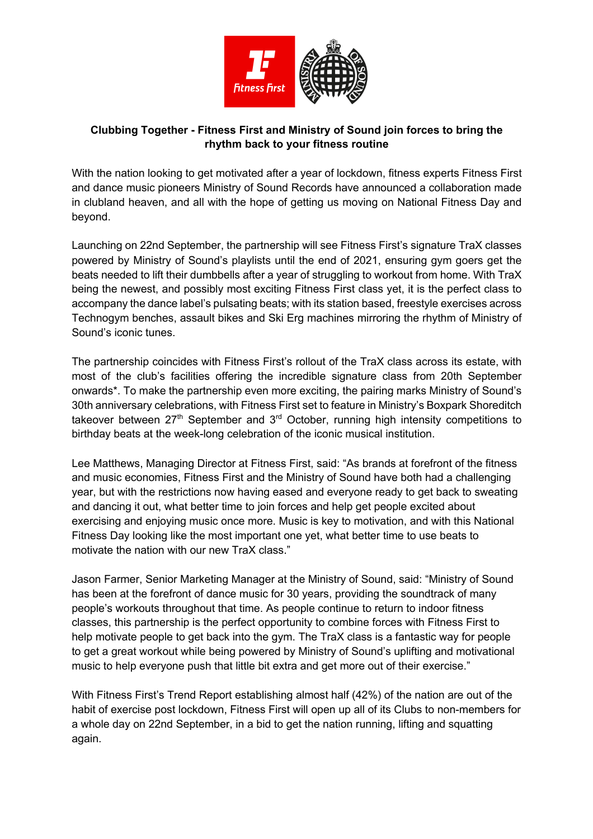

## **Clubbing Together - Fitness First and Ministry of Sound join forces to bring the rhythm back to your fitness routine**

With the nation looking to get motivated after a year of lockdown, fitness experts Fitness First and dance music pioneers Ministry of Sound Records have announced a collaboration made in clubland heaven, and all with the hope of getting us moving on National Fitness Day and beyond.

Launching on 22nd September, the partnership will see Fitness First's signature TraX classes powered by Ministry of Sound's playlists until the end of 2021, ensuring gym goers get the beats needed to lift their dumbbells after a year of struggling to workout from home. With TraX being the newest, and possibly most exciting Fitness First class yet, it is the perfect class to accompany the dance label's pulsating beats; with its station based, freestyle exercises across Technogym benches, assault bikes and Ski Erg machines mirroring the rhythm of Ministry of Sound's iconic tunes.

The partnership coincides with Fitness First's rollout of the TraX class across its estate, with most of the club's facilities offering the incredible signature class from 20th September onwards\*. To make the partnership even more exciting, the pairing marks Ministry of Sound's 30th anniversary celebrations, with Fitness First set to feature in Ministry's Boxpark Shoreditch takeover between  $27<sup>th</sup>$  September and  $3<sup>rd</sup>$  October, running high intensity competitions to birthday beats at the week-long celebration of the iconic musical institution.

Lee Matthews, Managing Director at Fitness First, said: "As brands at forefront of the fitness and music economies, Fitness First and the Ministry of Sound have both had a challenging year, but with the restrictions now having eased and everyone ready to get back to sweating and dancing it out, what better time to join forces and help get people excited about exercising and enjoying music once more. Music is key to motivation, and with this National Fitness Day looking like the most important one yet, what better time to use beats to motivate the nation with our new TraX class."

Jason Farmer, Senior Marketing Manager at the Ministry of Sound, said: "Ministry of Sound has been at the forefront of dance music for 30 years, providing the soundtrack of many people's workouts throughout that time. As people continue to return to indoor fitness classes, this partnership is the perfect opportunity to combine forces with Fitness First to help motivate people to get back into the gym. The TraX class is a fantastic way for people to get a great workout while being powered by Ministry of Sound's uplifting and motivational music to help everyone push that little bit extra and get more out of their exercise."

With Fitness First's Trend Report establishing almost half (42%) of the nation are out of the habit of exercise post lockdown, Fitness First will open up all of its Clubs to non-members for a whole day on 22nd September, in a bid to get the nation running, lifting and squatting again.